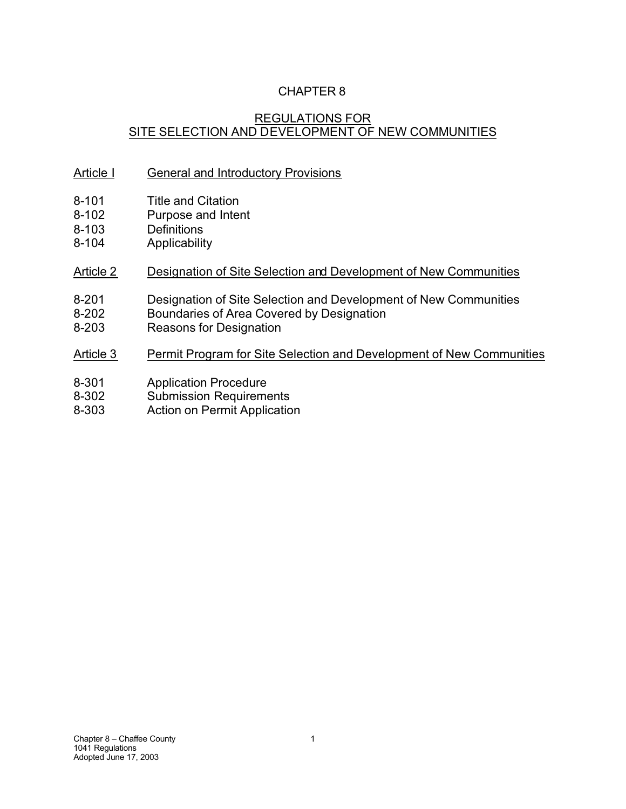# CHAPTER 8

# REGULATIONS FOR SITE SELECTION AND DEVELOPMENT OF NEW COMMUNITIES

### Article I General and Introductory Provisions

- 8-101 Title and Citation<br>8-102 Purpose and Inter
- Purpose and Intent
- 8-103 Definitions
- 8-104 Applicability

### Article 2 Designation of Site Selection and Development of New Communities

- 8-201 Designation of Site Selection and Development of New Communities
- 8-202 Boundaries of Area Covered by Designation
- 8-203 Reasons for Designation

### Article 3 Permit Program for Site Selection and Development of New Communities

- 8-301 Application Procedure
- 8-302 Submission Requirements
- 8-303 Action on Permit Application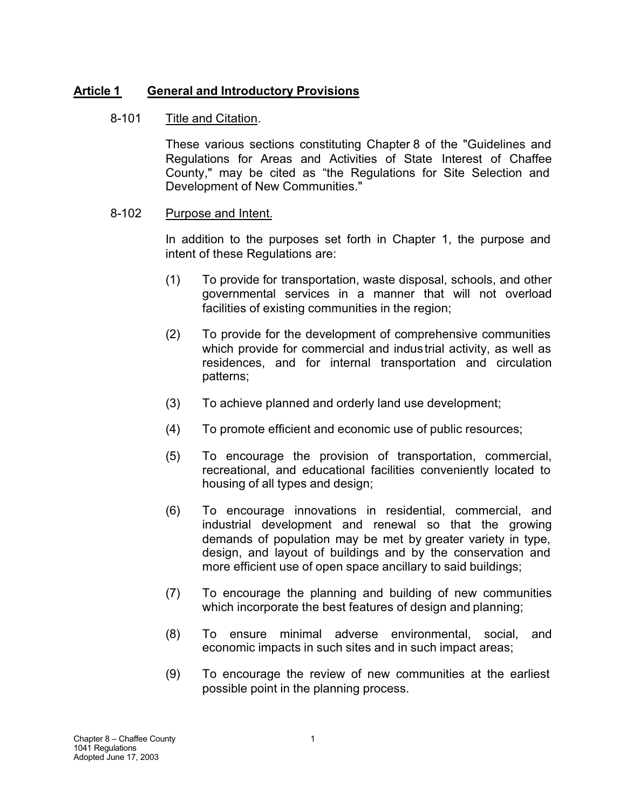### **Article 1 General and Introductory Provisions**

#### 8-101 Title and Citation.

These various sections constituting Chapter 8 of the "Guidelines and Regulations for Areas and Activities of State Interest of Chaffee County," may be cited as "the Regulations for Site Selection and Development of New Communities."

#### 8-102 Purpose and Intent.

In addition to the purposes set forth in Chapter 1, the purpose and intent of these Regulations are:

- (1) To provide for transportation, waste disposal, schools, and other governmental services in a manner that will not overload facilities of existing communities in the region;
- (2) To provide for the development of comprehensive communities which provide for commercial and industrial activity, as well as residences, and for internal transportation and circulation patterns;
- (3) To achieve planned and orderly land use development;
- (4) To promote efficient and economic use of public resources;
- (5) To encourage the provision of transportation, commercial, recreational, and educational facilities conveniently located to housing of all types and design;
- (6) To encourage innovations in residential, commercial, and industrial development and renewal so that the growing demands of population may be met by greater variety in type, design, and layout of buildings and by the conservation and more efficient use of open space ancillary to said buildings;
- (7) To encourage the planning and building of new communities which incorporate the best features of design and planning;
- (8) To ensure minimal adverse environmental, social, and economic impacts in such sites and in such impact areas;
- (9) To encourage the review of new communities at the earliest possible point in the planning process.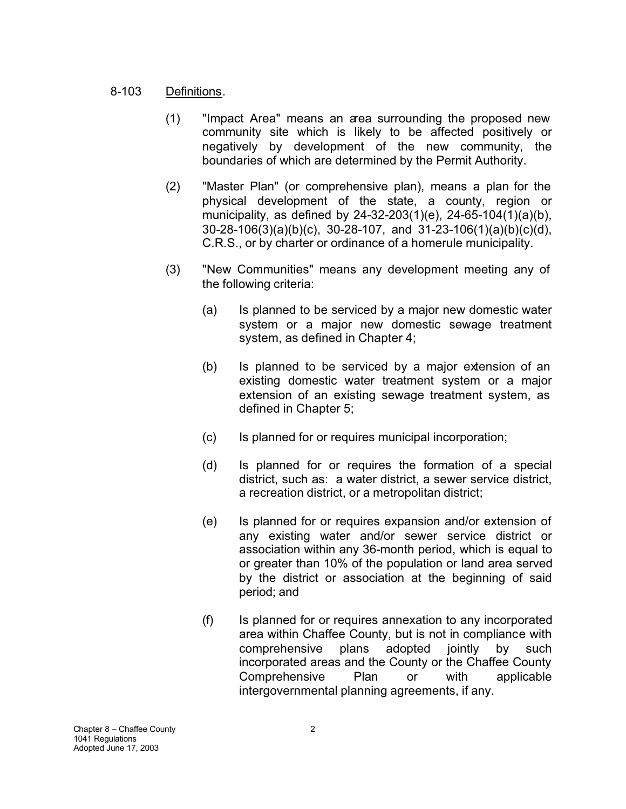#### 8-103 Definitions.

- (1) "Impact Area" means an area surrounding the proposed new community site which is likely to be affected positively or negatively by development of the new community, the boundaries of which are determined by the Permit Authority.
- (2) "Master Plan" (or comprehensive plan), means a plan for the physical development of the state, a county, region or municipality, as defined by 24-32-203(1)(e), 24-65-104(1)(a)(b), 30-28-106(3)(a)(b)(c), 30-28-107, and 31-23-106(1)(a)(b)(c)(d), C.R.S., or by charter or ordinance of a homerule municipality.
- (3) "New Communities" means any development meeting any of the following criteria:
	- (a) Is planned to be serviced by a major new domestic water system or a major new domestic sewage treatment system, as defined in Chapter 4;
	- (b) Is planned to be serviced by a major extension of an existing domestic water treatment system or a major extension of an existing sewage treatment system, as defined in Chapter 5;
	- (c) Is planned for or requires municipal incorporation;
	- (d) Is planned for or requires the formation of a special district, such as: a water district, a sewer service district, a recreation district, or a metropolitan district;
	- (e) Is planned for or requires expansion and/or extension of any existing water and/or sewer service district or association within any 36-month period, which is equal to or greater than 10% of the population or land area served by the district or association at the beginning of said period; and
	- (f) Is planned for or requires annexation to any incorporated area within Chaffee County, but is not in compliance with comprehensive plans adopted jointly by such incorporated areas and the County or the Chaffee County Comprehensive Plan or with applicable intergovernmental planning agreements, if any.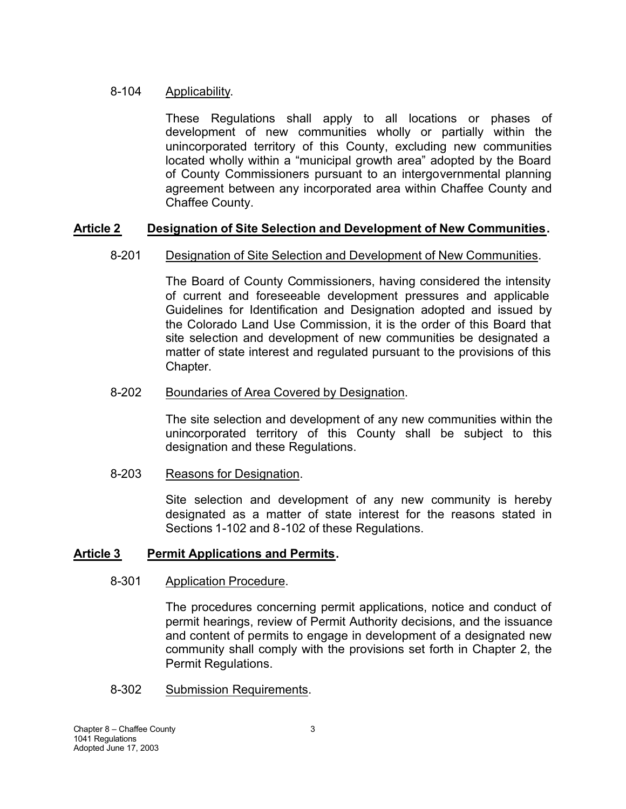#### 8-104 Applicability.

These Regulations shall apply to all locations or phases of development of new communities wholly or partially within the unincorporated territory of this County, excluding new communities located wholly within a "municipal growth area" adopted by the Board of County Commissioners pursuant to an intergovernmental planning agreement between any incorporated area within Chaffee County and Chaffee County.

# **Article 2 Designation of Site Selection and Development of New Communities.**

# 8-201 Designation of Site Selection and Development of New Communities.

The Board of County Commissioners, having considered the intensity of current and foreseeable development pressures and applicable Guidelines for Identification and Designation adopted and issued by the Colorado Land Use Commission, it is the order of this Board that site selection and development of new communities be designated a matter of state interest and regulated pursuant to the provisions of this Chapter.

### 8-202 Boundaries of Area Covered by Designation.

The site selection and development of any new communities within the unincorporated territory of this County shall be subject to this designation and these Regulations.

#### 8-203 Reasons for Designation.

Site selection and development of any new community is hereby designated as a matter of state interest for the reasons stated in Sections 1-102 and 8-102 of these Regulations.

# **Article 3 Permit Applications and Permits.**

#### 8-301 Application Procedure.

The procedures concerning permit applications, notice and conduct of permit hearings, review of Permit Authority decisions, and the issuance and content of permits to engage in development of a designated new community shall comply with the provisions set forth in Chapter 2, the Permit Regulations.

#### 8-302 Submission Requirements.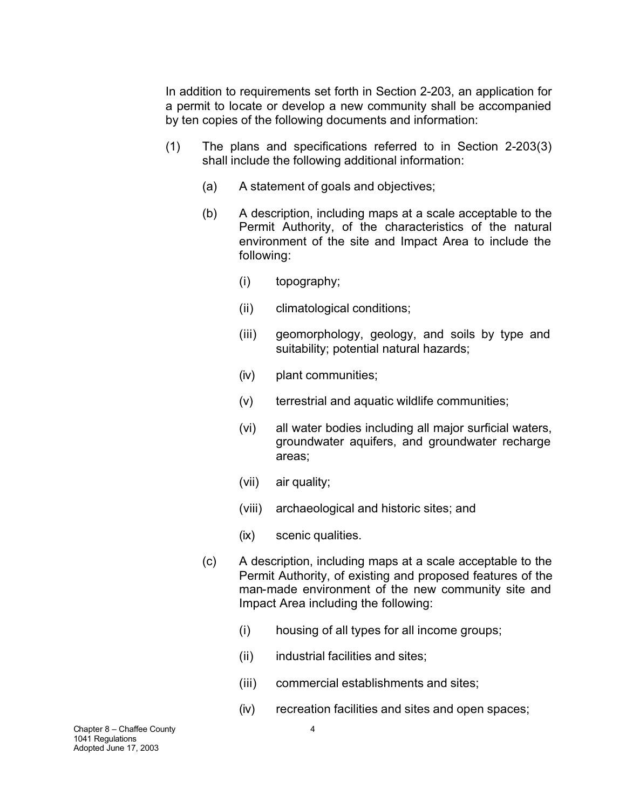In addition to requirements set forth in Section 2-203, an application for a permit to locate or develop a new community shall be accompanied by ten copies of the following documents and information:

- (1) The plans and specifications referred to in Section 2-203(3) shall include the following additional information:
	- (a) A statement of goals and objectives;
	- (b) A description, including maps at a scale acceptable to the Permit Authority, of the characteristics of the natural environment of the site and Impact Area to include the following:
		- (i) topography;
		- (ii) climatological conditions;
		- (iii) geomorphology, geology, and soils by type and suitability; potential natural hazards;
		- (iv) plant communities;
		- (v) terrestrial and aquatic wildlife communities;
		- (vi) all water bodies including all major surficial waters, groundwater aquifers, and groundwater recharge areas;
		- (vii) air quality;
		- (viii) archaeological and historic sites; and
		- (ix) scenic qualities.
	- (c) A description, including maps at a scale acceptable to the Permit Authority, of existing and proposed features of the man-made environment of the new community site and Impact Area including the following:
		- (i) housing of all types for all income groups;
		- (ii) industrial facilities and sites;
		- (iii) commercial establishments and sites;
		- (iv) recreation facilities and sites and open spaces;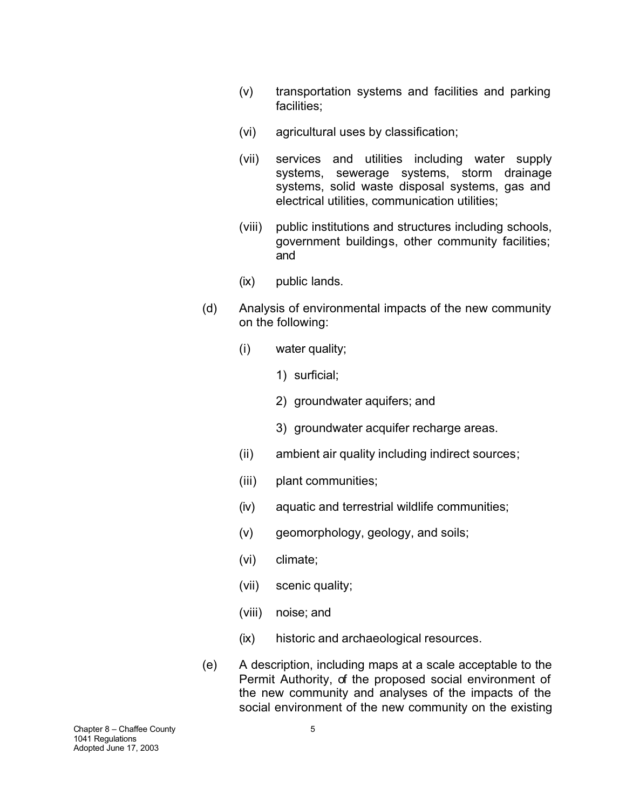- (v) transportation systems and facilities and parking facilities;
- (vi) agricultural uses by classification;
- (vii) services and utilities including water supply systems, sewerage systems, storm drainage systems, solid waste disposal systems, gas and electrical utilities, communication utilities;
- (viii) public institutions and structures including schools, government buildings, other community facilities; and
- (ix) public lands.
- (d) Analysis of environmental impacts of the new community on the following:
	- (i) water quality;
		- 1) surficial;
		- 2) groundwater aquifers; and
		- 3) groundwater acquifer recharge areas.
	- (ii) ambient air quality including indirect sources;
	- (iii) plant communities;
	- (iv) aquatic and terrestrial wildlife communities;
	- (v) geomorphology, geology, and soils;
	- (vi) climate;
	- (vii) scenic quality;
	- (viii) noise; and
	- (ix) historic and archaeological resources.
- (e) A description, including maps at a scale acceptable to the Permit Authority, of the proposed social environment of the new community and analyses of the impacts of the social environment of the new community on the existing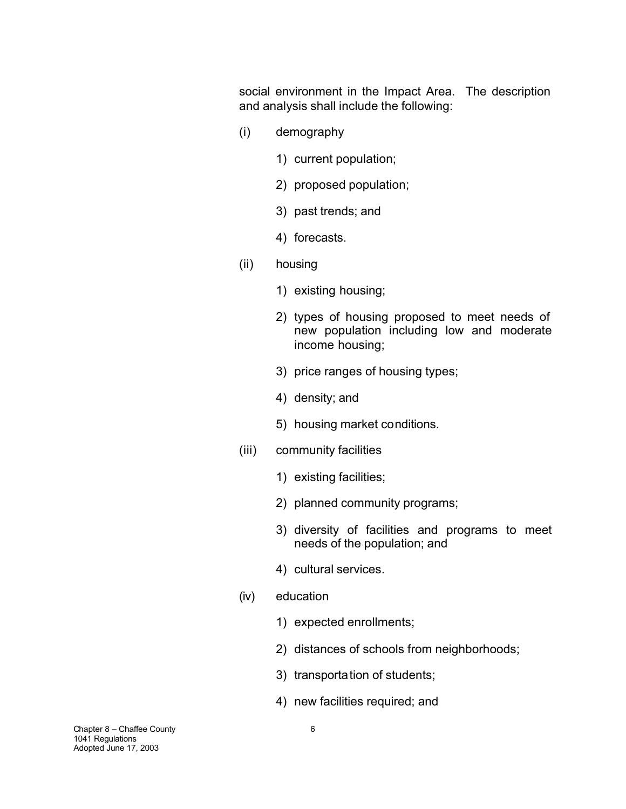social environment in the Impact Area. The description and analysis shall include the following:

- (i) demography
	- 1) current population;
	- 2) proposed population;
	- 3) past trends; and
	- 4) forecasts.
- (ii) housing
	- 1) existing housing;
	- 2) types of housing proposed to meet needs of new population including low and moderate income housing;
	- 3) price ranges of housing types;
	- 4) density; and
	- 5) housing market conditions.
- (iii) community facilities
	- 1) existing facilities;
	- 2) planned community programs;
	- 3) diversity of facilities and programs to meet needs of the population; and
	- 4) cultural services.
- (iv) education
	- 1) expected enrollments;
	- 2) distances of schools from neighborhoods;
	- 3) transportation of students;
	- 4) new facilities required; and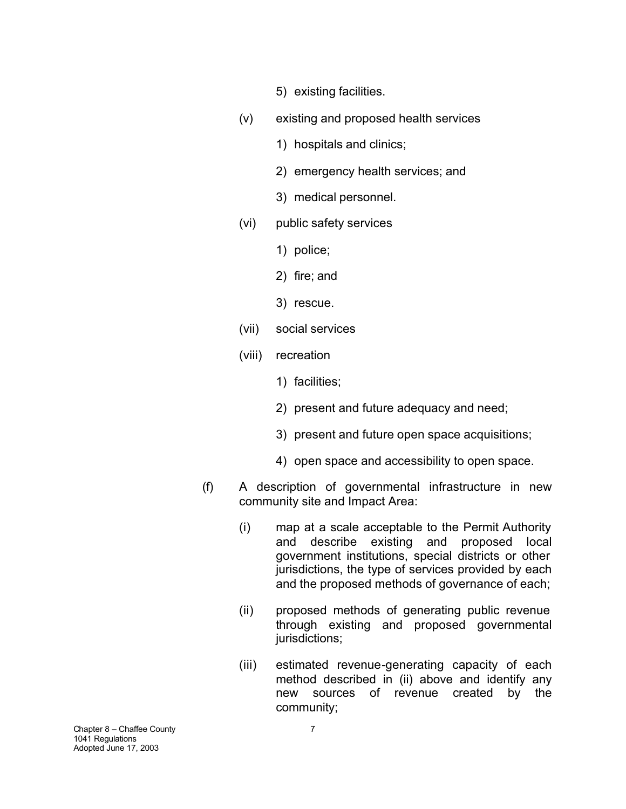- 5) existing facilities.
- (v) existing and proposed health services
	- 1) hospitals and clinics;
	- 2) emergency health services; and
	- 3) medical personnel.
- (vi) public safety services
	- 1) police;
	- 2) fire; and
	- 3) rescue.
- (vii) social services
- (viii) recreation
	- 1) facilities;
	- 2) present and future adequacy and need;
	- 3) present and future open space acquisitions;
	- 4) open space and accessibility to open space.
- (f) A description of governmental infrastructure in new community site and Impact Area:
	- (i) map at a scale acceptable to the Permit Authority and describe existing and proposed local government institutions, special districts or other jurisdictions, the type of services provided by each and the proposed methods of governance of each;
	- (ii) proposed methods of generating public revenue through existing and proposed governmental jurisdictions;
	- (iii) estimated revenue-generating capacity of each method described in (ii) above and identify any new sources of revenue created by the community;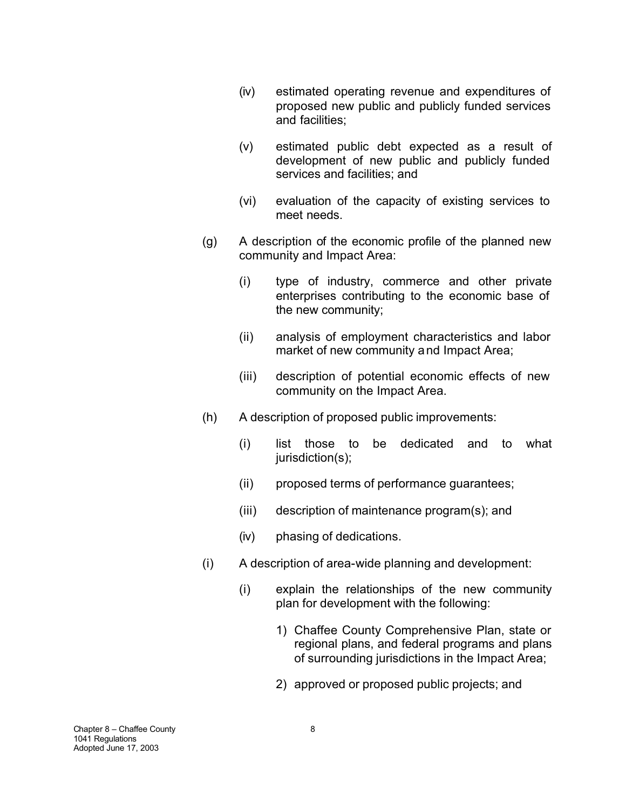- (iv) estimated operating revenue and expenditures of proposed new public and publicly funded services and facilities;
- (v) estimated public debt expected as a result of development of new public and publicly funded services and facilities; and
- (vi) evaluation of the capacity of existing services to meet needs.
- (g) A description of the economic profile of the planned new community and Impact Area:
	- (i) type of industry, commerce and other private enterprises contributing to the economic base of the new community;
	- (ii) analysis of employment characteristics and labor market of new community and Impact Area;
	- (iii) description of potential economic effects of new community on the Impact Area.
- (h) A description of proposed public improvements:
	- (i) list those to be dedicated and to what jurisdiction(s);
	- (ii) proposed terms of performance guarantees;
	- (iii) description of maintenance program(s); and
	- (iv) phasing of dedications.
- (i) A description of area-wide planning and development:
	- (i) explain the relationships of the new community plan for development with the following:
		- 1) Chaffee County Comprehensive Plan, state or regional plans, and federal programs and plans of surrounding jurisdictions in the Impact Area;
		- 2) approved or proposed public projects; and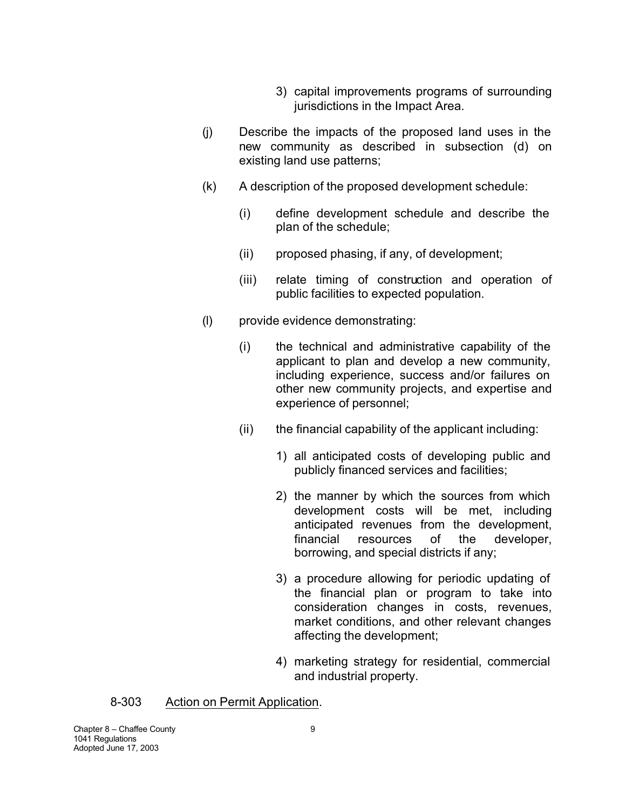- 3) capital improvements programs of surrounding jurisdictions in the Impact Area.
- (j) Describe the impacts of the proposed land uses in the new community as described in subsection (d) on existing land use patterns;
- (k) A description of the proposed development schedule:
	- (i) define development schedule and describe the plan of the schedule;
	- (ii) proposed phasing, if any, of development;
	- (iii) relate timing of construction and operation of public facilities to expected population.
- (l) provide evidence demonstrating:
	- (i) the technical and administrative capability of the applicant to plan and develop a new community, including experience, success and/or failures on other new community projects, and expertise and experience of personnel;
	- (ii) the financial capability of the applicant including:
		- 1) all anticipated costs of developing public and publicly financed services and facilities;
		- 2) the manner by which the sources from which development costs will be met, including anticipated revenues from the development, financial resources of the developer, borrowing, and special districts if any;
		- 3) a procedure allowing for periodic updating of the financial plan or program to take into consideration changes in costs, revenues, market conditions, and other relevant changes affecting the development;
		- 4) marketing strategy for residential, commercial and industrial property.

# 8-303 Action on Permit Application.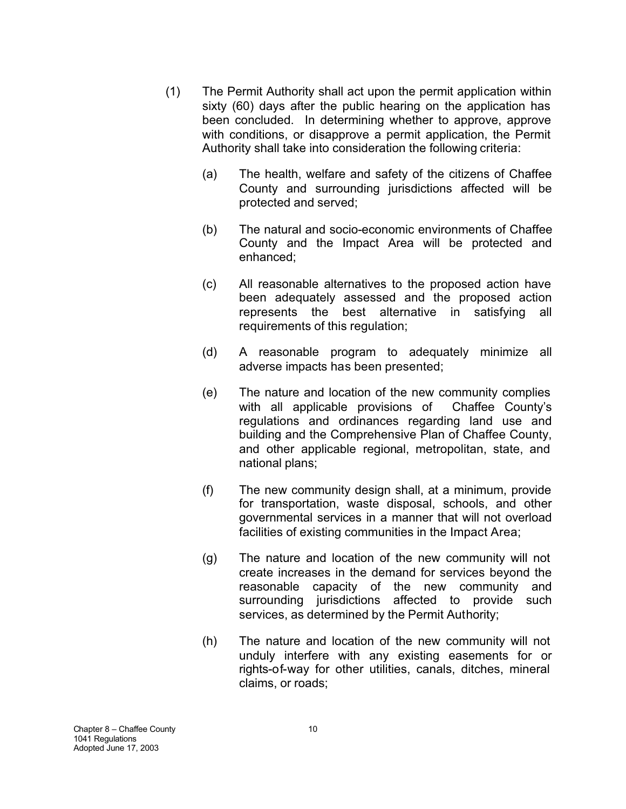- (1) The Permit Authority shall act upon the permit application within sixty (60) days after the public hearing on the application has been concluded. In determining whether to approve, approve with conditions, or disapprove a permit application, the Permit Authority shall take into consideration the following criteria:
	- (a) The health, welfare and safety of the citizens of Chaffee County and surrounding jurisdictions affected will be protected and served;
	- (b) The natural and socio-economic environments of Chaffee County and the Impact Area will be protected and enhanced;
	- (c) All reasonable alternatives to the proposed action have been adequately assessed and the proposed action represents the best alternative in satisfying all requirements of this regulation;
	- (d) A reasonable program to adequately minimize all adverse impacts has been presented;
	- (e) The nature and location of the new community complies with all applicable provisions of Chaffee County's regulations and ordinances regarding land use and building and the Comprehensive Plan of Chaffee County, and other applicable regional, metropolitan, state, and national plans;
	- (f) The new community design shall, at a minimum, provide for transportation, waste disposal, schools, and other governmental services in a manner that will not overload facilities of existing communities in the Impact Area;
	- (g) The nature and location of the new community will not create increases in the demand for services beyond the reasonable capacity of the new community and surrounding jurisdictions affected to provide such services, as determined by the Permit Authority;
	- (h) The nature and location of the new community will not unduly interfere with any existing easements for or rights-of-way for other utilities, canals, ditches, mineral claims, or roads;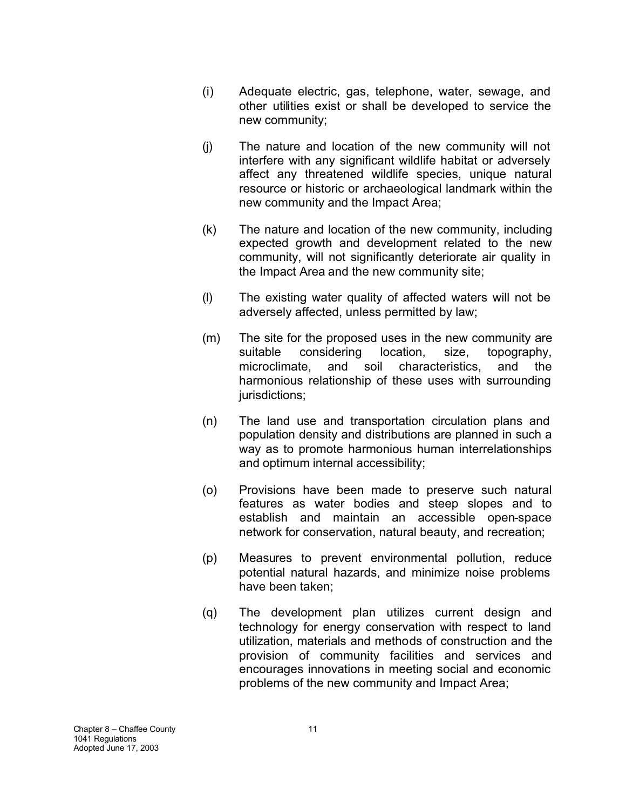- (i) Adequate electric, gas, telephone, water, sewage, and other utilities exist or shall be developed to service the new community;
- (j) The nature and location of the new community will not interfere with any significant wildlife habitat or adversely affect any threatened wildlife species, unique natural resource or historic or archaeological landmark within the new community and the Impact Area;
- (k) The nature and location of the new community, including expected growth and development related to the new community, will not significantly deteriorate air quality in the Impact Area and the new community site;
- (l) The existing water quality of affected waters will not be adversely affected, unless permitted by law;
- (m) The site for the proposed uses in the new community are suitable considering location, size, topography, microclimate, and soil characteristics, and the harmonious relationship of these uses with surrounding jurisdictions:
- (n) The land use and transportation circulation plans and population density and distributions are planned in such a way as to promote harmonious human interrelationships and optimum internal accessibility;
- (o) Provisions have been made to preserve such natural features as water bodies and steep slopes and to establish and maintain an accessible open-space network for conservation, natural beauty, and recreation;
- (p) Measures to prevent environmental pollution, reduce potential natural hazards, and minimize noise problems have been taken;
- (q) The development plan utilizes current design and technology for energy conservation with respect to land utilization, materials and methods of construction and the provision of community facilities and services and encourages innovations in meeting social and economic problems of the new community and Impact Area;